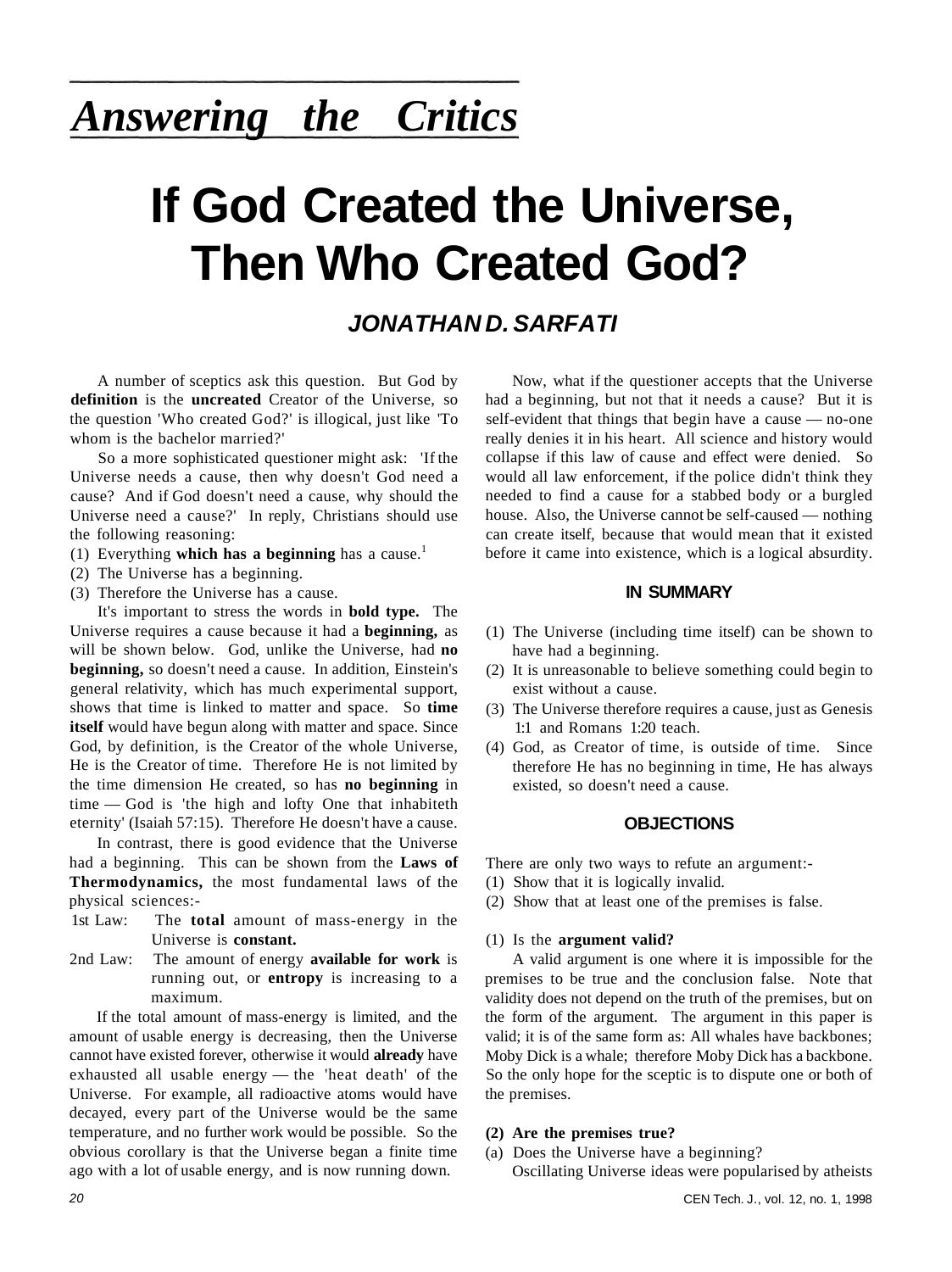## *Answering the Critics*

# **If God Created the Universe, Then Who Created God?**

### **JONATHAN D. SARFATI**

A number of sceptics ask this question. But God by **definition** is the **uncreated** Creator of the Universe, so the question 'Who created God?' is illogical, just like 'To whom is the bachelor married?'

So a more sophisticated questioner might ask: 'If the Universe needs a cause, then why doesn't God need a cause? And if God doesn't need a cause, why should the Universe need a cause?' In reply, Christians should use the following reasoning:

- (1) Everything **which has a beginning** has a cause.<sup>1</sup>
- (2) The Universe has a beginning.
- (3) Therefore the Universe has a cause.

It's important to stress the words in **bold type.** The Universe requires a cause because it had a **beginning,** as will be shown below. God, unlike the Universe, had **no beginning,** so doesn't need a cause. In addition, Einstein's general relativity, which has much experimental support, shows that time is linked to matter and space. So **time itself** would have begun along with matter and space. Since God, by definition, is the Creator of the whole Universe, He is the Creator of time. Therefore He is not limited by the time dimension He created, so has **no beginning** in time — God is 'the high and lofty One that inhabiteth eternity' (Isaiah 57:15). Therefore He doesn't have a cause.

In contrast, there is good evidence that the Universe had a beginning. This can be shown from the **Laws of Thermodynamics,** the most fundamental laws of the physical sciences:-

- 1st Law: The **total** amount of mass-energy in the Universe is **constant.**
- 2nd Law: The amount of energy **available for work** is running out, or **entropy** is increasing to a maximum.

If the total amount of mass-energy is limited, and the amount of usable energy is decreasing, then the Universe cannot have existed forever, otherwise it would **already** have exhausted all usable energy — the 'heat death' of the Universe. For example, all radioactive atoms would have decayed, every part of the Universe would be the same temperature, and no further work would be possible. So the obvious corollary is that the Universe began a finite time ago with a lot of usable energy, and is now running down.

Now, what if the questioner accepts that the Universe had a beginning, but not that it needs a cause? But it is self-evident that things that begin have a cause — no-one really denies it in his heart. All science and history would collapse if this law of cause and effect were denied. So would all law enforcement, if the police didn't think they needed to find a cause for a stabbed body or a burgled house. Also, the Universe cannot be self-caused — nothing can create itself, because that would mean that it existed before it came into existence, which is a logical absurdity.

#### **IN SUMMARY**

- (1) The Universe (including time itself) can be shown to have had a beginning.
- (2) It is unreasonable to believe something could begin to exist without a cause.
- (3) The Universe therefore requires a cause, just as Genesis 1:1 and Romans 1:20 teach.
- (4) God, as Creator of time, is outside of time. Since therefore He has no beginning in time, He has always existed, so doesn't need a cause.

#### **OBJECTIONS**

There are only two ways to refute an argument:-

- (1) Show that it is logically invalid.
- (2) Show that at least one of the premises is false.

#### (1) Is the **argument valid?**

A valid argument is one where it is impossible for the premises to be true and the conclusion false. Note that validity does not depend on the truth of the premises, but on the form of the argument. The argument in this paper is valid; it is of the same form as: All whales have backbones; Moby Dick is a whale; therefore Moby Dick has a backbone. So the only hope for the sceptic is to dispute one or both of the premises.

#### **(2) Are the premises true?**

- (a) Does the Universe have a beginning?
	- Oscillating Universe ideas were popularised by atheists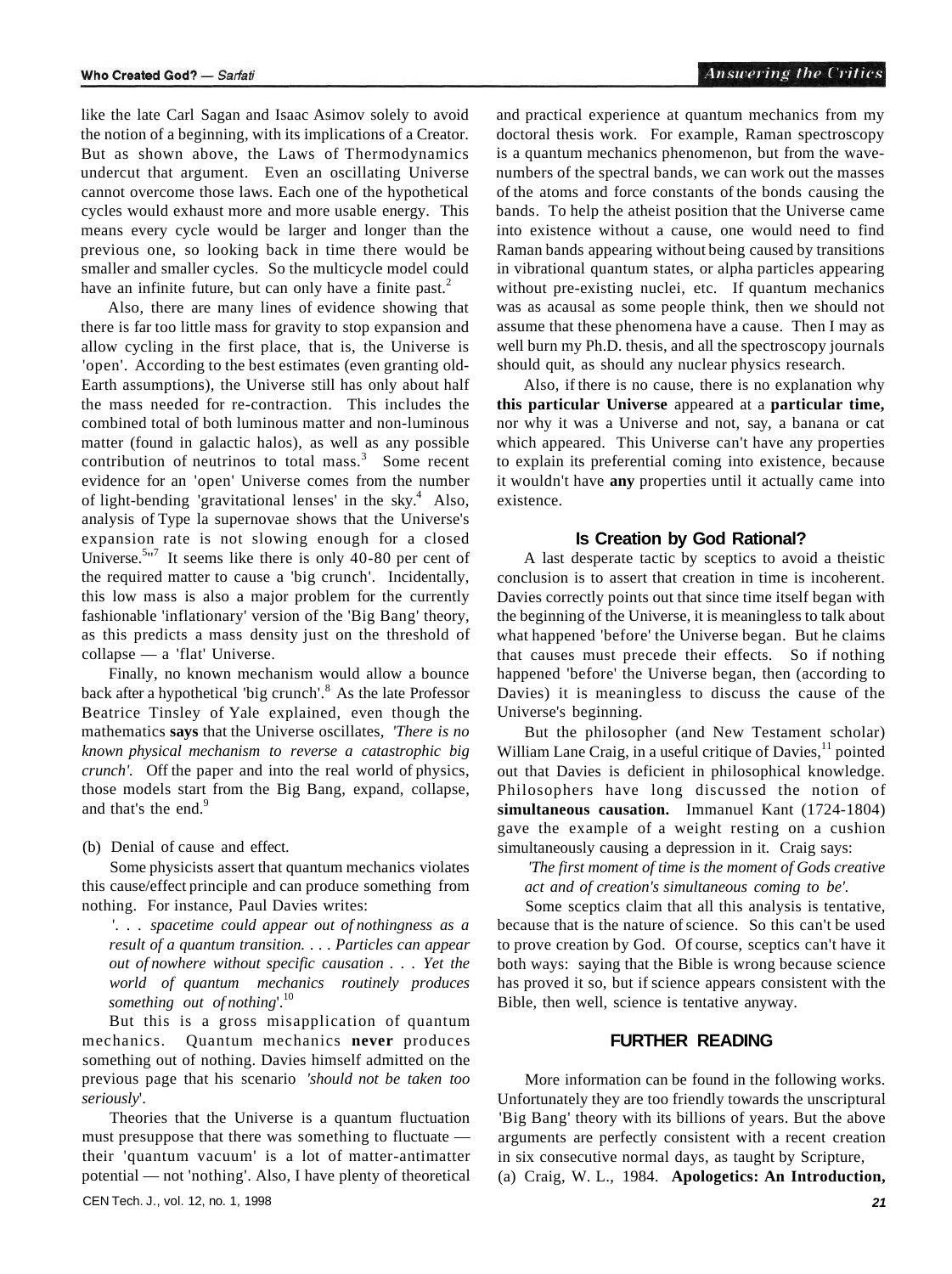like the late Carl Sagan and Isaac Asimov solely to avoid the notion of a beginning, with its implications of a Creator. But as shown above, the Laws of Thermodynamics undercut that argument. Even an oscillating Universe cannot overcome those laws. Each one of the hypothetical cycles would exhaust more and more usable energy. This means every cycle would be larger and longer than the previous one, so looking back in time there would be smaller and smaller cycles. So the multicycle model could have an infinite future, but can only have a finite past. $<sup>2</sup>$ </sup>

Also, there are many lines of evidence showing that there is far too little mass for gravity to stop expansion and allow cycling in the first place, that is, the Universe is 'open'. According to the best estimates (even granting old-Earth assumptions), the Universe still has only about half the mass needed for re-contraction. This includes the combined total of both luminous matter and non-luminous matter (found in galactic halos), as well as any possible contribution of neutrinos to total mass. $3$  Some recent evidence for an 'open' Universe comes from the number of light-bending 'gravitational lenses' in the sky.<sup>4</sup> Also, analysis of Type la supernovae shows that the Universe's expansion rate is not slowing enough for a closed Universe.<sup>5 $n7$ </sup> It seems like there is only 40-80 per cent of the required matter to cause a 'big crunch'. Incidentally, this low mass is also a major problem for the currently fashionable 'inflationary' version of the 'Big Bang' theory, as this predicts a mass density just on the threshold of collapse — a 'flat' Universe.

Finally, no known mechanism would allow a bounce back after a hypothetical 'big crunch'.<sup>8</sup> As the late Professor Beatrice Tinsley of Yale explained, even though the mathematics **says** that the Universe oscillates, *'There is no known physical mechanism to reverse a catastrophic big crunch'.* Off the paper and into the real world of physics, those models start from the Big Bang, expand, collapse, and that's the end.<sup>9</sup>

#### (b) Denial of cause and effect.

Some physicists assert that quantum mechanics violates this cause/effect principle and can produce something from nothing. For instance, Paul Davies writes:

'. . . *spacetime could appear out of nothingness as a result of a quantum transition.* . . . *Particles can appear out of nowhere without specific causation* . . . *Yet the world of quantum mechanics routinely produces something out of nothing*'.<sup>10</sup>

But this is a gross misapplication of quantum mechanics. Quantum mechanics **never** produces something out of nothing. Davies himself admitted on the previous page that his scenario *'should not be taken too seriously*'.

Theories that the Universe is a quantum fluctuation must presuppose that there was something to fluctuate their 'quantum vacuum' is a lot of matter-antimatter potential — not 'nothing'. Also, I have plenty of theoretical and practical experience at quantum mechanics from my doctoral thesis work. For example, Raman spectroscopy is a quantum mechanics phenomenon, but from the wavenumbers of the spectral bands, we can work out the masses of the atoms and force constants of the bonds causing the bands. To help the atheist position that the Universe came into existence without a cause, one would need to find Raman bands appearing without being caused by transitions in vibrational quantum states, or alpha particles appearing without pre-existing nuclei, etc. If quantum mechanics was as acausal as some people think, then we should not assume that these phenomena have a cause. Then I may as well burn my Ph.D. thesis, and all the spectroscopy journals should quit, as should any nuclear physics research.

Also, if there is no cause, there is no explanation why **this particular Universe** appeared at a **particular time,**  nor why it was a Universe and not, say, a banana or cat which appeared. This Universe can't have any properties to explain its preferential coming into existence, because it wouldn't have **any** properties until it actually came into existence.

#### **Is Creation by God Rational?**

A last desperate tactic by sceptics to avoid a theistic conclusion is to assert that creation in time is incoherent. Davies correctly points out that since time itself began with the beginning of the Universe, it is meaningless to talk about what happened 'before' the Universe began. But he claims that causes must precede their effects. So if nothing happened 'before' the Universe began, then (according to Davies) it is meaningless to discuss the cause of the Universe's beginning.

But the philosopher (and New Testament scholar) William Lane Craig, in a useful critique of Davies, $11$  pointed out that Davies is deficient in philosophical knowledge. Philosophers have long discussed the notion of **simultaneous causation.** Immanuel Kant (1724-1804) gave the example of a weight resting on a cushion simultaneously causing a depression in it. Craig says:

*'The first moment of time is the moment of Gods creative act and of creation's simultaneous coming to be'.* 

Some sceptics claim that all this analysis is tentative, because that is the nature of science. So this can't be used to prove creation by God. Of course, sceptics can't have it both ways: saying that the Bible is wrong because science has proved it so, but if science appears consistent with the Bible, then well, science is tentative anyway.

#### **FURTHER READING**

More information can be found in the following works. Unfortunately they are too friendly towards the unscriptural 'Big Bang' theory with its billions of years. But the above arguments are perfectly consistent with a recent creation in six consecutive normal days, as taught by Scripture,

(a) Craig, W. L., 1984. **Apologetics: An Introduction,**